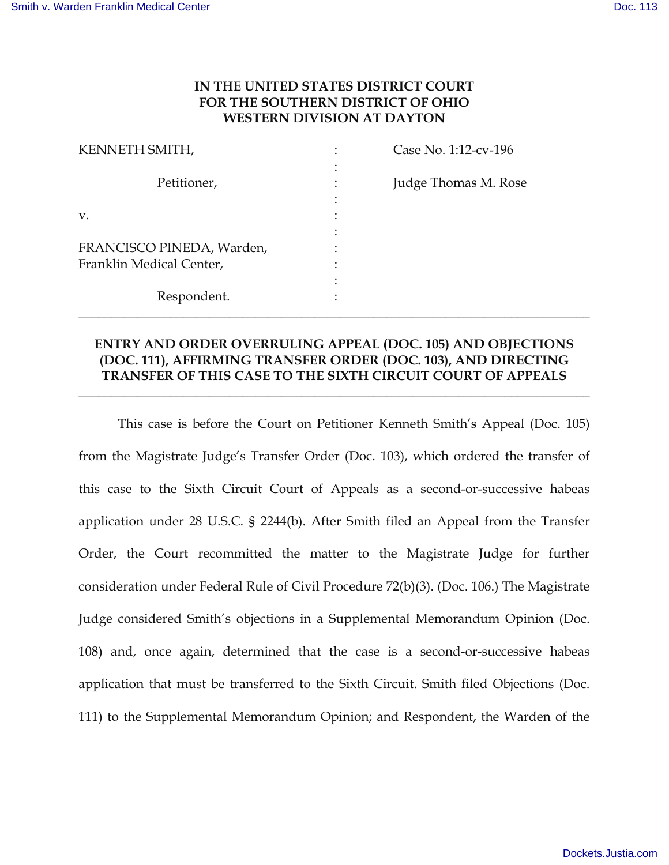## **IN THE UNITED STATES DISTRICT COURT FOR THE SOUTHERN DISTRICT OF OHIO WESTERN DIVISION AT DAYTON**

| KENNETH SMITH,            | Case No. 1:12-cv-196 |
|---------------------------|----------------------|
| Petitioner,               | Judge Thomas M. Rose |
|                           |                      |
| V.                        |                      |
|                           |                      |
| FRANCISCO PINEDA, Warden, |                      |
| Franklin Medical Center,  |                      |
|                           |                      |
| Respondent.               |                      |

## **ENTRY AND ORDER OVERRULING APPEAL (DOC. 105) AND OBJECTIONS (DOC. 111), AFFIRMING TRANSFER ORDER (DOC. 103), AND DIRECTING TRANSFER OF THIS CASE TO THE SIXTH CIRCUIT COURT OF APPEALS**

**\_\_\_\_\_\_\_\_\_\_\_\_\_\_\_\_\_\_\_\_\_\_\_\_\_\_\_\_\_\_\_\_\_\_\_\_\_\_\_\_\_\_\_\_\_\_\_\_\_\_\_\_\_\_\_\_\_\_\_\_\_\_\_\_\_\_\_\_\_\_\_\_\_\_\_\_\_\_** 

This case is before the Court on Petitioner Kenneth Smith's Appeal (Doc. 105) from the Magistrate Judge's Transfer Order (Doc. 103), which ordered the transfer of this case to the Sixth Circuit Court of Appeals as a second-or-successive habeas application under 28 U.S.C. § 2244(b). After Smith filed an Appeal from the Transfer Order, the Court recommitted the matter to the Magistrate Judge for further consideration under Federal Rule of Civil Procedure 72(b)(3). (Doc. 106.) The Magistrate Judge considered Smith's objections in a Supplemental Memorandum Opinion (Doc. 108) and, once again, determined that the case is a second-or-successive habeas application that must be transferred to the Sixth Circuit. Smith filed Objections (Doc. 111) to the Supplemental Memorandum Opinion; and Respondent, the Warden of the